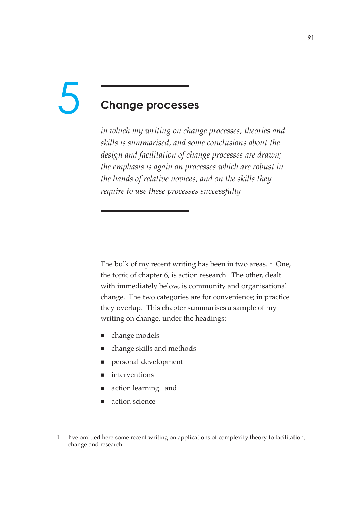# **Change processes** 5

*in which my writing on change processes, theories and skills is summarised, and some conclusions about the design and facilitation of change processes are drawn; the emphasis is again on processes which are robust in the hands of relative novices, and on the skills they require to use these processes successfully*

The bulk of my recent writing has been in two areas.  $1$  One, the topic of chapter 6, is action research. The other, dealt with immediately below, is community and organisational change. The two categories are for convenience; in practice they overlap. This chapter summarises a sample of my writing on change, under the headings:

- change models
- change skills and methods
- personal development
- interventions
- action learning and
- action science

<sup>1.</sup> I've omitted here some recent writing on applications of complexity theory to facilitation, change and research.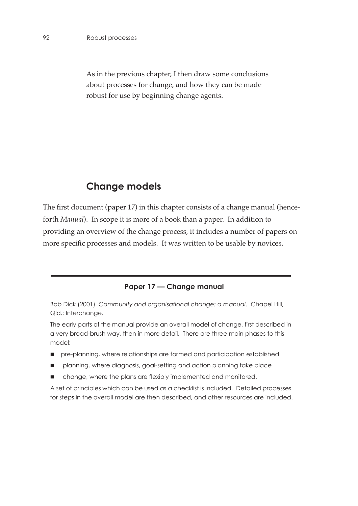As in the previous chapter, I then draw some conclusions about processes for change, and how they can be made robust for use by beginning change agents.

# **Change models**

The first document (paper 17) in this chapter consists of a change manual (henceforth *Manual*). In scope it is more of a book than a paper. In addition to providing an overview of the change process, it includes a number of papers on more specific processes and models. It was written to be usable by novices.

#### **Paper 17 — Change manual**

Bob Dick (2001) *Community and organisational change: a manual*. Chapel Hill, Qld.: Interchange.

The early parts of the manual provide an overall model of change, first described in a very broad-brush way, then in more detail. There are three main phases to this model:

- pre-planning, where relationships are formed and participation established
- planning, where diagnosis, goal-setting and action planning take place
- change, where the plans are flexibly implemented and monitored.

A set of principles which can be used as a checklist is included. Detailed processes for steps in the overall model are then described, and other resources are included.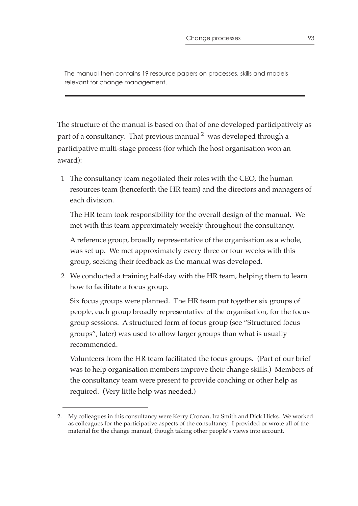The manual then contains 19 resource papers on processes, skills and models relevant for change management.

The structure of the manual is based on that of one developed participatively as part of a consultancy. That previous manual  $2 \text{ was developed through a}$ participative multi-stage process (for which the host organisation won an award):

 1 The consultancy team negotiated their roles with the CEO, the human resources team (henceforth the HR team) and the directors and managers of each division.

The HR team took responsibility for the overall design of the manual. We met with this team approximately weekly throughout the consultancy.

A reference group, broadly representative of the organisation as a whole, was set up. We met approximately every three or four weeks with this group, seeking their feedback as the manual was developed.

 2 We conducted a training half-day with the HR team, helping them to learn how to facilitate a focus group.

Six focus groups were planned. The HR team put together six groups of people, each group broadly representative of the organisation, for the focus group sessions. A structured form of focus group (see "Structured focus groups", later) was used to allow larger groups than what is usually recommended.

Volunteers from the HR team facilitated the focus groups. (Part of our brief was to help organisation members improve their change skills.) Members of the consultancy team were present to provide coaching or other help as required. (Very little help was needed.)

<sup>2.</sup> My colleagues in this consultancy were Kerry Cronan, Ira Smith and Dick Hicks. We worked as colleagues for the participative aspects of the consultancy. I provided or wrote all of the material for the change manual, though taking other people's views into account.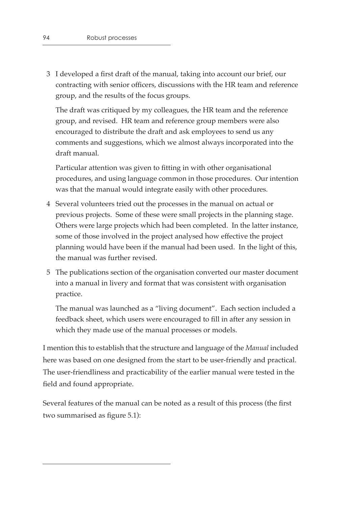3 I developed a first draft of the manual, taking into account our brief, our contracting with senior officers, discussions with the HR team and reference group, and the results of the focus groups.

The draft was critiqued by my colleagues, the HR team and the reference group, and revised. HR team and reference group members were also encouraged to distribute the draft and ask employees to send us any comments and suggestions, which we almost always incorporated into the draft manual.

Particular attention was given to fitting in with other organisational procedures, and using language common in those procedures. Our intention was that the manual would integrate easily with other procedures.

- 4 Several volunteers tried out the processes in the manual on actual or previous projects. Some of these were small projects in the planning stage. Others were large projects which had been completed. In the latter instance, some of those involved in the project analysed how effective the project planning would have been if the manual had been used. In the light of this, the manual was further revised.
- 5 The publications section of the organisation converted our master document into a manual in livery and format that was consistent with organisation practice.

The manual was launched as a "living document". Each section included a feedback sheet, which users were encouraged to fill in after any session in which they made use of the manual processes or models.

I mention this to establish that the structure and language of the *Manual* included here was based on one designed from the start to be user-friendly and practical. The user-friendliness and practicability of the earlier manual were tested in the field and found appropriate.

Several features of the manual can be noted as a result of this process (the first two summarised as figure 5.1):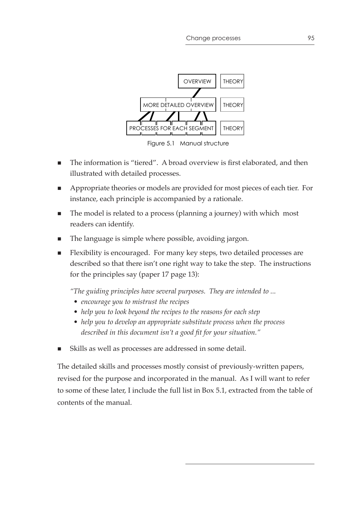

Figure 5.1 Manual structure

- The information is "tiered". A broad overview is first elaborated, and then illustrated with detailed processes.
- Appropriate theories or models are provided for most pieces of each tier. For instance, each principle is accompanied by a rationale.
- The model is related to a process (planning a journey) with which most readers can identify.
- The language is simple where possible, avoiding jargon.
- Flexibility is encouraged. For many key steps, two detailed processes are described so that there isn't one right way to take the step. The instructions for the principles say (paper 17 page 13):

*"The guiding principles have several purposes. They are intended to ...*

- *encourage you to mistrust the recipes*
- *help you to look beyond the recipes to the reasons for each step*
- *help you to develop an appropriate substitute process when the process described in this document isn't a good fit for your situation."*
- Skills as well as processes are addressed in some detail.

The detailed skills and processes mostly consist of previously-written papers, revised for the purpose and incorporated in the manual. As I will want to refer to some of these later, I include the full list in Box 5.1, extracted from the table of contents of the manual.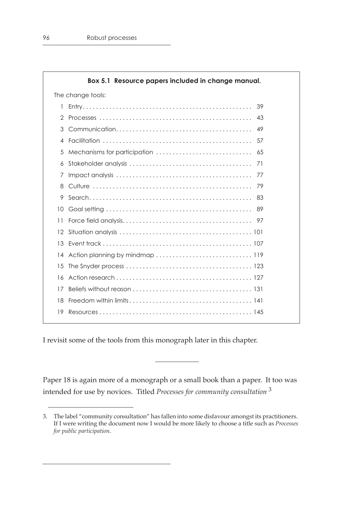|                   | Box 5.1 Resource papers included in change manual.                                                          |  |  |
|-------------------|-------------------------------------------------------------------------------------------------------------|--|--|
| The change tools: |                                                                                                             |  |  |
| 1                 | 39                                                                                                          |  |  |
| 2                 | 43                                                                                                          |  |  |
| 3                 | 49                                                                                                          |  |  |
| 4                 | 57                                                                                                          |  |  |
| 5                 | Mechanisms for participation<br>65                                                                          |  |  |
| 6                 | 71                                                                                                          |  |  |
| 7                 | 77                                                                                                          |  |  |
| 8                 | 79                                                                                                          |  |  |
| 9                 | 83                                                                                                          |  |  |
| 10                | 89                                                                                                          |  |  |
| 11                |                                                                                                             |  |  |
| 12                |                                                                                                             |  |  |
| 13                |                                                                                                             |  |  |
| 14                |                                                                                                             |  |  |
| 15                |                                                                                                             |  |  |
| 16                |                                                                                                             |  |  |
| 17                |                                                                                                             |  |  |
| 18                | Freedom within limits $\ldots \ldots \ldots \ldots \ldots \ldots \ldots \ldots \ldots \ldots \ldots \ldots$ |  |  |
| 19                |                                                                                                             |  |  |

I revisit some of the tools from this monograph later in this chapter.

Paper 18 is again more of a monograph or a small book than a paper. It too was intended for use by novices. Titled *Processes for community consultation* <sup>3</sup>

<sup>3.</sup> The label "community consultation" has fallen into some disfavour amongst its practitioners. If I were writing the document now I would be more likely to choose a title such as *Processes for public participation*.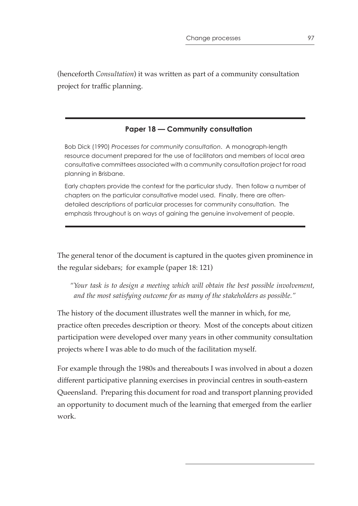(henceforth *Consultation*) it was written as part of a community consultation project for traffic planning.

## **Paper 18 — Community consultation**

Bob Dick (1990) *Processes for community consultation*. A monograph-length resource document prepared for the use of facilitators and members of local area consultative committees associated with a community consultation project for road planning in Brisbane.

Early chapters provide the context for the particular study. Then follow a number of chapters on the particular consultative model used. Finally, there are oftendetailed descriptions of particular processes for community consultation. The emphasis throughout is on ways of gaining the genuine involvement of people.

The general tenor of the document is captured in the quotes given prominence in the regular sidebars; for example (paper 18: 121)

*"Your task is to design a meeting which will obtain the best possible involvement, and the most satisfying outcome for as many of the stakeholders as possible."*

The history of the document illustrates well the manner in which, for me, practice often precedes description or theory. Most of the concepts about citizen participation were developed over many years in other community consultation projects where I was able to do much of the facilitation myself.

For example through the 1980s and thereabouts I was involved in about a dozen different participative planning exercises in provincial centres in south-eastern Queensland. Preparing this document for road and transport planning provided an opportunity to document much of the learning that emerged from the earlier work.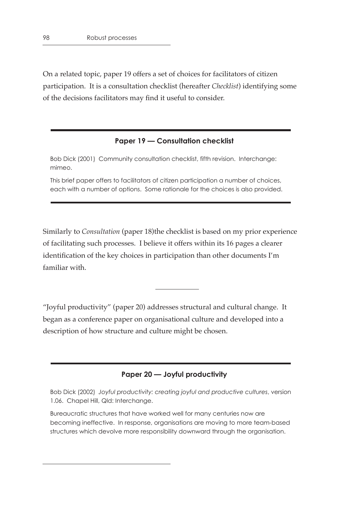On a related topic, paper 19 offers a set of choices for facilitators of citizen participation. It is a consultation checklist (hereafter *Checklist*) identifying some of the decisions facilitators may find it useful to consider.

#### **Paper 19 — Consultation checklist**

Bob Dick (2001) Community consultation checklist, fifth revision. Interchange: mimeo.

This brief paper offers to facilitators of citizen participation a number of choices, each with a number of options. Some rationale for the choices is also provided.

Similarly to *Consultation* (paper 18)the checklist is based on my prior experience of facilitating such processes. I believe it offers within its 16 pages a clearer identification of the key choices in participation than other documents I'm familiar with.

"Joyful productivity" (paper 20) addresses structural and cultural change. It began as a conference paper on organisational culture and developed into a description of how structure and culture might be chosen.

#### **Paper 20 — Joyful productivity**

Bob Dick (2002) *Joyful productivity: creating joyful and productive cultures*, version 1.06. Chapel Hill, Qld: Interchange.

Bureaucratic structures that have worked well for many centuries now are becoming ineffective. In response, organisations are moving to more team-based structures which devolve more responsibility downward through the organisation.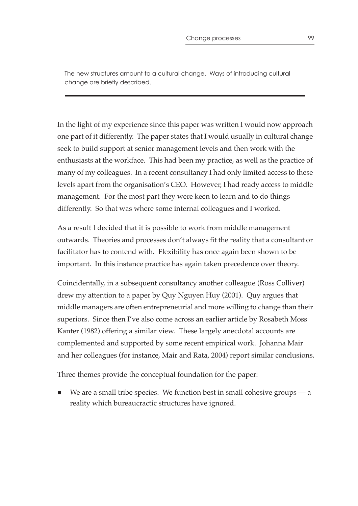The new structures amount to a cultural change. Ways of introducing cultural change are briefly described.

In the light of my experience since this paper was written I would now approach one part of it differently. The paper states that I would usually in cultural change seek to build support at senior management levels and then work with the enthusiasts at the workface. This had been my practice, as well as the practice of many of my colleagues. In a recent consultancy I had only limited access to these levels apart from the organisation's CEO. However, I had ready access to middle management. For the most part they were keen to learn and to do things differently. So that was where some internal colleagues and I worked.

As a result I decided that it is possible to work from middle management outwards. Theories and processes don't always fit the reality that a consultant or facilitator has to contend with. Flexibility has once again been shown to be important. In this instance practice has again taken precedence over theory.

Coincidentally, in a subsequent consultancy another colleague (Ross Colliver) drew my attention to a paper by Quy Nguyen Huy (2001). Quy argues that middle managers are often entrepreneurial and more willing to change than their superiors. Since then I've also come across an earlier article by Rosabeth Moss Kanter (1982) offering a similar view. These largely anecdotal accounts are complemented and supported by some recent empirical work. Johanna Mair and her colleagues (for instance, Mair and Rata, 2004) report similar conclusions.

Three themes provide the conceptual foundation for the paper:

We are a small tribe species. We function best in small cohesive groups — a reality which bureaucractic structures have ignored.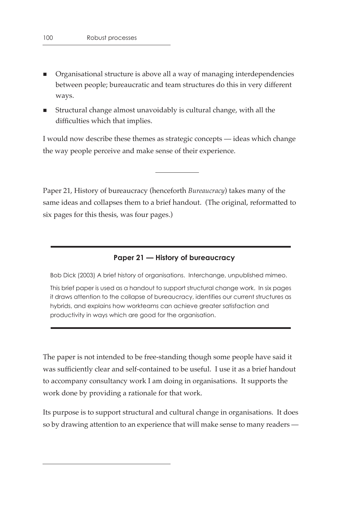- Organisational structure is above all a way of managing interdependencies between people; bureaucratic and team structures do this in very different ways.
- Structural change almost unavoidably is cultural change, with all the difficulties which that implies.

I would now describe these themes as strategic concepts — ideas which change the way people perceive and make sense of their experience.

Paper 21, History of bureaucracy (henceforth *Bureaucracy*) takes many of the same ideas and collapses them to a brief handout. (The original, reformatted to six pages for this thesis, was four pages.)

## **Paper 21 — History of bureaucracy**

Bob Dick (2003) A brief history of organisations. Interchange, unpublished mimeo.

This brief paper is used as a handout to support structural change work. In six pages it draws attention to the collapse of bureaucracy, identifies our current structures as hybrids, and explains how workteams can achieve greater satisfaction and productivity in ways which are good for the organisation.

The paper is not intended to be free-standing though some people have said it was sufficiently clear and self-contained to be useful. I use it as a brief handout to accompany consultancy work I am doing in organisations. It supports the work done by providing a rationale for that work.

Its purpose is to support structural and cultural change in organisations. It does so by drawing attention to an experience that will make sense to many readers —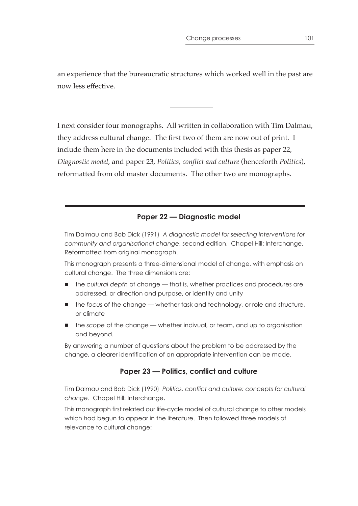an experience that the bureaucratic structures which worked well in the past are now less effective.

I next consider four monographs. All written in collaboration with Tim Dalmau, they address cultural change. The first two of them are now out of print. I include them here in the documents included with this thesis as paper 22, *Diagnostic model*, and paper 23, *Politics, conflict and culture* (henceforth *Politics*), reformatted from old master documents. The other two are monographs.

#### **Paper 22 — Diagnostic model**

Tim Dalmau and Bob Dick (1991) *A diagnostic model for selecting interventions for community and organisational change*, second edition. Chapel Hill: Interchange. Reformatted from original monograph.

This monograph presents a three-dimensional model of change, with emphasis on cultural change. The three dimensions are:

- the *cultural depth* of change that is, whether practices and procedures are addressed, or direction and purpose, or identity and unity
- the *focus* of the change whether task and technology, or role and structure, or climate
- the *scope* of the change whether indivual, or team, and up to organisation and beyond.

By answering a number of questions about the problem to be addressed by the change, a clearer identification of an appropriate intervention can be made.

#### **Paper 23 — Politics, conflict and culture**

Tim Dalmau and Bob Dick (1990) *Politics, conflict and culture: concepts for cultural change*. Chapel Hill: Interchange.

This monograph first related our life-cycle model of cultural change to other models which had begun to appear in the literature. Then followed three models of relevance to cultural change: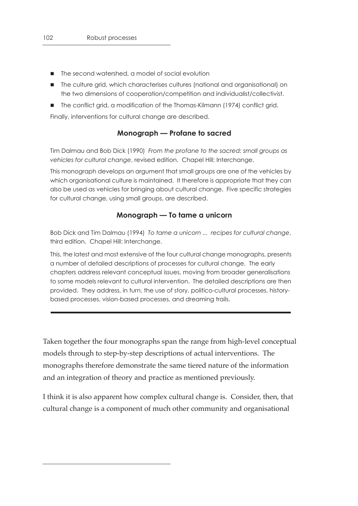- The second watershed, a model of social evolution
- The culture grid, which characterises cultures (national and organisational) on the two dimensions of cooperation/competition and individualist/collectivist.
- The conflict grid, a modification of the Thomas-Kilmann (1974) conflict grid.

Finally, interventions for cultural change are described.

#### **Monograph — Profane to sacred**

Tim Dalmau and Bob Dick (1990) *From the profane to the sacred: small groups as vehicles for cultural change*, revised edition. Chapel Hill: Interchange.

This monograph develops an argument that small groups are one of the vehicles by which organisational culture is maintained. It therefore is appropriate that they can also be used as vehicles for bringing about cultural change. Five specific strategies for cultural change, using small groups, are described.

#### **Monograph — To tame a unicorn**

Bob Dick and Tim Dalmau (1994) *To tame a unicorn ... recipes for cultural change*, third edition. Chapel Hill: Interchange.

This, the latest and most extensive of the four cultural change monographs, presents a number of detailed descriptions of processes for cultural change. The early chapters address relevant conceptual issues, moving from broader generalisations to some models relevant to cultural intervention. The detailed descriptions are then provided. They address, in turn, the use of story, politico-cultural processes, historybased processes, vision-based processes, and dreaming trails.

Taken together the four monographs span the range from high-level conceptual models through to step-by-step descriptions of actual interventions. The monographs therefore demonstrate the same tiered nature of the information and an integration of theory and practice as mentioned previously.

I think it is also apparent how complex cultural change is. Consider, then, that cultural change is a component of much other community and organisational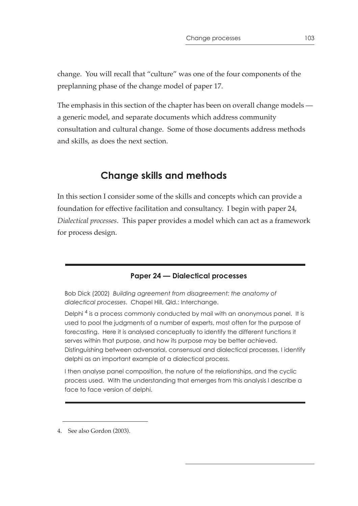change. You will recall that "culture" was one of the four components of the preplanning phase of the change model of paper 17.

The emphasis in this section of the chapter has been on overall change models a generic model, and separate documents which address community consultation and cultural change. Some of those documents address methods and skills, as does the next section.

# **Change skills and methods**

In this section I consider some of the skills and concepts which can provide a foundation for effective facilitation and consultancy. I begin with paper 24, *Dialectical processes*. This paper provides a model which can act as a framework for process design.

#### **Paper 24 — Dialectical processes**

Bob Dick (2002) *Building agreement from disagreement: the anatomy of dialectical processes*. Chapel Hill, Qld.: Interchange.

Delphi<sup>4</sup> is a process commonly conducted by mail with an anonymous panel. It is used to pool the judgments of a number of experts, most often for the purpose of forecasting. Here it is analysed conceptually to identify the different functions it serves within that purpose, and how its purpose may be better achieved. Distinguishing between adversarial, consensual and dialectical processes, I identify delphi as an important example of a dialectical process.

I then analyse panel composition, the nature of the relationships, and the cyclic process used. With the understanding that emerges from this analysis I describe a face to face version of delphi.

4. See also Gordon (2003).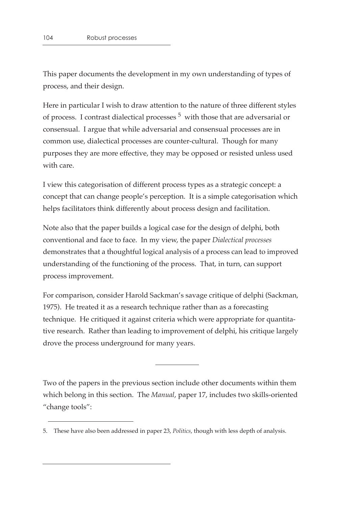This paper documents the development in my own understanding of types of process, and their design.

Here in particular I wish to draw attention to the nature of three different styles of process. I contrast dialectical processes  $5$  with those that are adversarial or consensual. I argue that while adversarial and consensual processes are in common use, dialectical processes are counter-cultural. Though for many purposes they are more effective, they may be opposed or resisted unless used with care.

I view this categorisation of different process types as a strategic concept: a concept that can change people's perception. It is a simple categorisation which helps facilitators think differently about process design and facilitation.

Note also that the paper builds a logical case for the design of delphi, both conventional and face to face. In my view, the paper *Dialectical processes* demonstrates that a thoughtful logical analysis of a process can lead to improved understanding of the functioning of the process. That, in turn, can support process improvement.

For comparison, consider Harold Sackman's savage critique of delphi (Sackman, 1975). He treated it as a research technique rather than as a forecasting technique. He critiqued it against criteria which were appropriate for quantitative research. Rather than leading to improvement of delphi, his critique largely drove the process underground for many years.

Two of the papers in the previous section include other documents within them which belong in this section. The *Manual*, paper 17, includes two skills-oriented "change tools":

<sup>5.</sup> These have also been addressed in paper 23, *Politics*, though with less depth of analysis.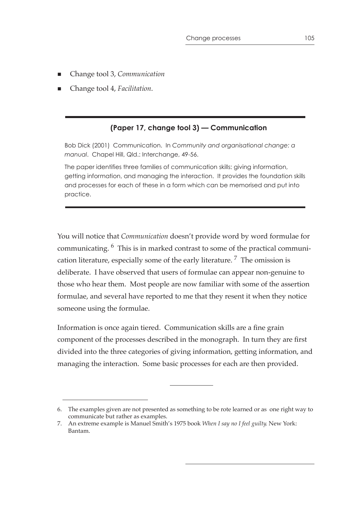- Change tool 3, *Communication*
- Change tool 4, *Facilitation*.

#### **(Paper 17, change tool 3) — Communication**

Bob Dick (2001) Communication. In *Community and organisational change: a manual*. Chapel Hill, Qld.: Interchange, 49-56.

The paper identifies three families of communication skills: giving information, getting information, and managing the interaction. It provides the foundation skills and processes for each of these in a form which can be memorised and put into practice.

You will notice that *Communication* doesn't provide word by word formulae for communicating. 6 This is in marked contrast to some of the practical communication literature, especially some of the early literature.<sup>7</sup> The omission is deliberate. I have observed that users of formulae can appear non-genuine to those who hear them. Most people are now familiar with some of the assertion formulae, and several have reported to me that they resent it when they notice someone using the formulae.

Information is once again tiered. Communication skills are a fine grain component of the processes described in the monograph. In turn they are first divided into the three categories of giving information, getting information, and managing the interaction. Some basic processes for each are then provided.

<sup>6.</sup> The examples given are not presented as something to be rote learned or as one right way to communicate but rather as examples.

<sup>7.</sup> An extreme example is Manuel Smith's 1975 book *When I say no I feel guilty*. New York: Bantam.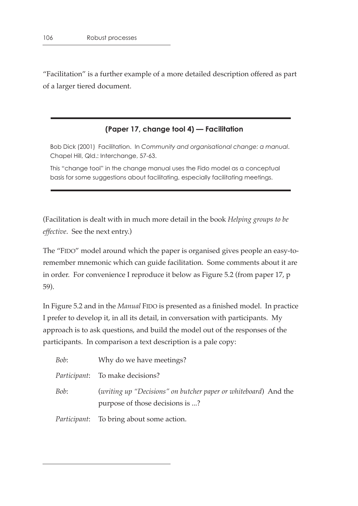"Facilitation" is a further example of a more detailed description offered as part of a larger tiered document.

#### **(Paper 17, change tool 4) — Facilitation**

Bob Dick (2001) Facilitation. In *Community and organisational change: a manual*. Chapel Hill, Qld.: Interchange, 57-63.

This "change tool" in the change manual uses the Fido model as a conceptual basis for some suggestions about facilitating, especially facilitating meetings.

(Facilitation is dealt with in much more detail in the book *Helping groups to be effective*. See the next entry.)

The "FIDO" model around which the paper is organised gives people an easy-toremember mnemonic which can guide facilitation. Some comments about it are in order. For convenience I reproduce it below as Figure 5.2 (from paper 17, p 59).

In Figure 5.2 and in the *Manual* FIDO is presented as a finished model. In practice I prefer to develop it, in all its detail, in conversation with participants. My approach is to ask questions, and build the model out of the responses of the participants. In comparison a text description is a pale copy:

| Bob: | Why do we have meetings?                                                                           |
|------|----------------------------------------------------------------------------------------------------|
|      | <i>Participant:</i> To make decisions?                                                             |
| Bob: | (writing up "Decisions" on butcher paper or whiteboard) And the<br>purpose of those decisions is ? |
|      | <i>Participant</i> : To bring about some action.                                                   |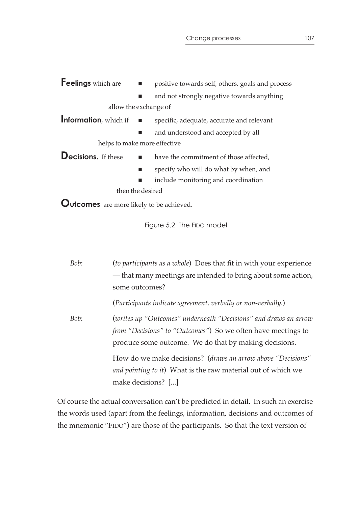| Feelings which are                   | $\blacksquare$<br>positive towards self, others, goals and process |
|--------------------------------------|--------------------------------------------------------------------|
|                                      | and not strongly negative towards anything                         |
| allow the exchange of                |                                                                    |
| Information, which if $\blacksquare$ | specific, adequate, accurate and relevant                          |
|                                      | and understood and accepted by all                                 |
| helps to make more effective         |                                                                    |
| <b>Decisions.</b> If these           | have the commitment of those affected,<br>$\blacksquare$           |
|                                      | specify who will do what by when, and                              |
|                                      | include monitoring and coordination                                |
| then the desired                     |                                                                    |
|                                      |                                                                    |

**Outcomes** are more likely to be achieved.

Figure 5.2 The FIDO model

| Bob: | (to participants as a whole) Does that fit in with your experience   |
|------|----------------------------------------------------------------------|
|      | — that many meetings are intended to bring about some action,        |
|      | some outcomes?                                                       |
|      | (Participants indicate agreement, verbally or non-verbally.)         |
| Bob: | (writes up "Outcomes" underneath "Decisions" and draws an arrow      |
|      | <i>from "Decisions" to "Outcomes"</i> ) So we often have meetings to |
|      | produce some outcome. We do that by making decisions.                |
|      | How do we make decisions? (draws an arrow above "Decisions"          |
|      | <i>and pointing to it</i> ) What is the raw material out of which we |
|      | make decisions? []                                                   |

Of course the actual conversation can't be predicted in detail. In such an exercise the words used (apart from the feelings, information, decisions and outcomes of the mnemonic "FIDO") are those of the participants. So that the text version of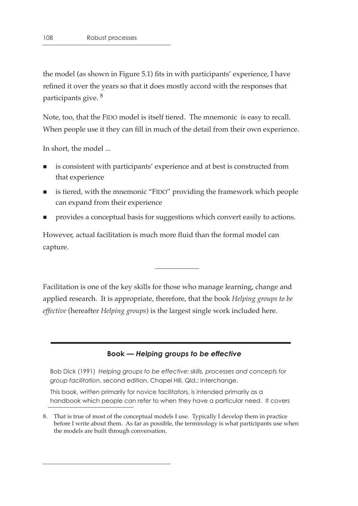the model (as shown in Figure 5.1) fits in with participants' experience, I have refined it over the years so that it does mostly accord with the responses that participants give. 8

Note, too, that the FIDO model is itself tiered. The mnemonic is easy to recall. When people use it they can fill in much of the detail from their own experience.

In short, the model ...

- is consistent with participants' experience and at best is constructed from that experience
- is tiered, with the mnemonic "FIDO" providing the framework which people can expand from their experience
- provides a conceptual basis for suggestions which convert easily to actions.

However, actual facilitation is much more fluid than the formal model can capture.

Facilitation is one of the key skills for those who manage learning, change and applied research. It is appropriate, therefore, that the book *Helping groups to be effective* (hereafter *Helping groups*) is the largest single work included here.

#### **Book —** *Helping groups to be effective*

Bob Dick (1991) *Helping groups to be effective: skills, processes and concepts for group facilitation*, second edition. Chapel Hill, Qld.: Interchange.

This book, written primarily for novice facilitators, is intended primarily as a handbook which people can refer to when they have a particular need. It covers

<sup>8.</sup> That is true of most of the conceptual models I use. Typically I develop them in practice before I write about them. As far as possible, the terminology is what participants use when the models are built through conversation.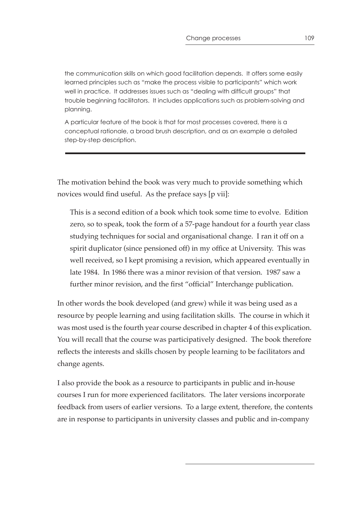the communication skills on which good facilitation depends. It offers some easily learned principles such as "make the process visible to participants" which work well in practice. It addresses issues such as "dealing with difficult groups" that trouble beginning facilitators. It includes applications such as problem-solving and planning.

A particular feature of the book is that for most processes covered, there is a conceptual rationale, a broad brush description, and as an example a detailed step-by-step description.

The motivation behind the book was very much to provide something which novices would find useful. As the preface says [p vii]:

This is a second edition of a book which took some time to evolve. Edition zero, so to speak, took the form of a 57-page handout for a fourth year class studying techniques for social and organisational change. I ran it off on a spirit duplicator (since pensioned off) in my office at University. This was well received, so I kept promising a revision, which appeared eventually in late 1984. In 1986 there was a minor revision of that version. 1987 saw a further minor revision, and the first "official" Interchange publication.

In other words the book developed (and grew) while it was being used as a resource by people learning and using facilitation skills. The course in which it was most used is the fourth year course described in chapter 4 of this explication. You will recall that the course was participatively designed. The book therefore reflects the interests and skills chosen by people learning to be facilitators and change agents.

I also provide the book as a resource to participants in public and in-house courses I run for more experienced facilitators. The later versions incorporate feedback from users of earlier versions. To a large extent, therefore, the contents are in response to participants in university classes and public and in-company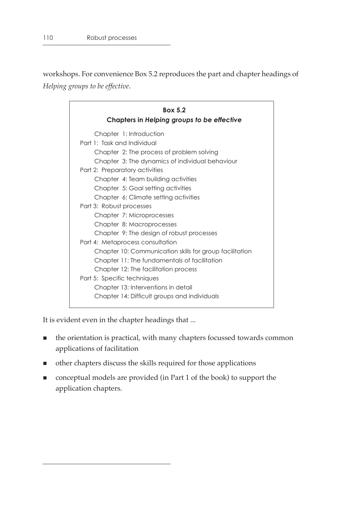workshops. For convenience Box 5.2 reproduces the part and chapter headings of *Helping groups to be effective*.

| <b>Box 5.2</b><br>Chapters in Helping groups to be effective |                                                         |  |
|--------------------------------------------------------------|---------------------------------------------------------|--|
|                                                              | Chapter 1: Introduction                                 |  |
|                                                              | Part 1: Task and Individual                             |  |
|                                                              | Chapter 2: The process of problem solving               |  |
|                                                              | Chapter 3: The dynamics of individual behaviour         |  |
|                                                              | Part 2: Preparatory activities                          |  |
|                                                              | Chapter 4: Team building activities                     |  |
|                                                              | Chapter 5: Goal setting activities                      |  |
|                                                              | Chapter 6: Climate setting activities                   |  |
|                                                              | Part 3: Robust processes                                |  |
|                                                              | Chapter 7: Microprocesses                               |  |
|                                                              | Chapter 8: Macroprocesses                               |  |
|                                                              | Chapter 9: The design of robust processes               |  |
|                                                              | Part 4: Metaprocess consultation                        |  |
|                                                              | Chapter 10: Communication skills for group facilitation |  |
|                                                              | Chapter 11: The fundamentals of facilitation            |  |
|                                                              | Chapter 12: The facilitation process                    |  |
|                                                              | Part 5: Specific techniques                             |  |
|                                                              | Chapter 13: Interventions in detail                     |  |
|                                                              | Chapter 14: Difficult groups and individuals            |  |
|                                                              |                                                         |  |

It is evident even in the chapter headings that ...

- the orientation is practical, with many chapters focussed towards common applications of facilitation
- other chapters discuss the skills required for those applications
- conceptual models are provided (in Part 1 of the book) to support the application chapters.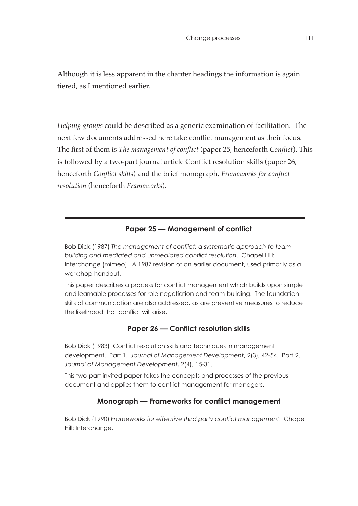Although it is less apparent in the chapter headings the information is again tiered, as I mentioned earlier.

*Helping groups* could be described as a generic examination of facilitation. The next few documents addressed here take conflict management as their focus. The first of them is *The management of conflict* (paper 25, henceforth *Conflict*). This is followed by a two-part journal article Conflict resolution skills (paper 26, henceforth *Conflict skills*) and the brief monograph, *Frameworks for conflict resolution* (henceforth *Frameworks*).

## **Paper 25 — Management of conflict**

Bob Dick (1987) *The management of conflict: a systematic approach to team building and mediated and unmediated conflict resolution*. Chapel Hill: Interchange (mimeo). A 1987 revision of an earlier document, used primarily as a workshop handout.

This paper describes a process for conflict management which builds upon simple and learnable processes for role negotiation and team-building. The foundation skills of communication are also addressed, as are preventive measures to reduce the likelihood that conflict will arise.

## **Paper 26 — Conflict resolution skills**

Bob Dick (1983) Conflict resolution skills and techniques in management development. Part 1. *Journal of Management Development*, 2(3), 42-54. Part 2. *Journal of Management Development*, 2(4), 15-31.

This two-part invited paper takes the concepts and processes of the previous document and applies them to conflict management for managers.

## **Monograph — Frameworks for conflict management**

Bob Dick (1990) *Frameworks for effective third party conflict management*. Chapel Hill: Interchange.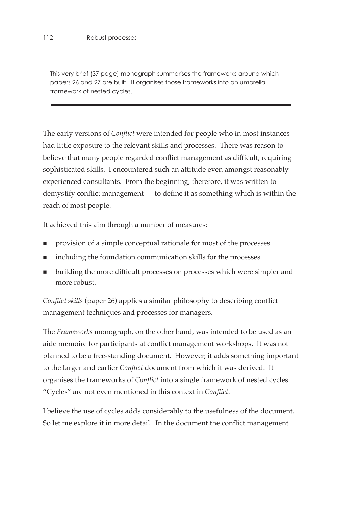This very brief (37 page) monograph summarises the frameworks around which papers 26 and 27 are built. It organises those frameworks into an umbrella framework of nested cycles.

The early versions of *Conflict* were intended for people who in most instances had little exposure to the relevant skills and processes. There was reason to believe that many people regarded conflict management as difficult, requiring sophisticated skills. I encountered such an attitude even amongst reasonably experienced consultants. From the beginning, therefore, it was written to demystify conflict management — to define it as something which is within the reach of most people.

It achieved this aim through a number of measures:

- **Peropensist Languist** provision of a simple conceptual rationale for most of the processes
- including the foundation communication skills for the processes
- building the more difficult processes on processes which were simpler and more robust.

*Conflict skills* (paper 26) applies a similar philosophy to describing conflict management techniques and processes for managers.

The *Frameworks* monograph, on the other hand, was intended to be used as an aide memoire for participants at conflict management workshops. It was not planned to be a free-standing document. However, it adds something important to the larger and earlier *Conflict* document from which it was derived. It organises the frameworks of *Conflict* into a single framework of nested cycles. "Cycles" are not even mentioned in this context in *Conflict*.

I believe the use of cycles adds considerably to the usefulness of the document. So let me explore it in more detail. In the document the conflict management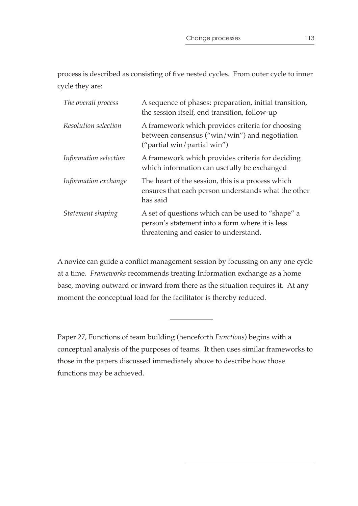process is described as consisting of five nested cycles. From outer cycle to inner cycle they are:

| The overall process   | A sequence of phases: preparation, initial transition,<br>the session itself, end transition, follow-up                                       |
|-----------------------|-----------------------------------------------------------------------------------------------------------------------------------------------|
| Resolution selection  | A framework which provides criteria for choosing<br>between consensus (" $win/win$ ") and negotiation<br>("partial win/partial win")          |
| Information selection | A framework which provides criteria for deciding<br>which information can usefully be exchanged                                               |
| Information exchange  | The heart of the session, this is a process which<br>ensures that each person understands what the other<br>has said                          |
| Statement shaping     | A set of questions which can be used to "shape" a<br>person's statement into a form where it is less<br>threatening and easier to understand. |

A novice can guide a conflict management session by focussing on any one cycle at a time. *Frameworks* recommends treating Information exchange as a home base, moving outward or inward from there as the situation requires it. At any moment the conceptual load for the facilitator is thereby reduced.

Paper 27, Functions of team building (henceforth *Functions*) begins with a conceptual analysis of the purposes of teams. It then uses similar frameworks to those in the papers discussed immediately above to describe how those functions may be achieved.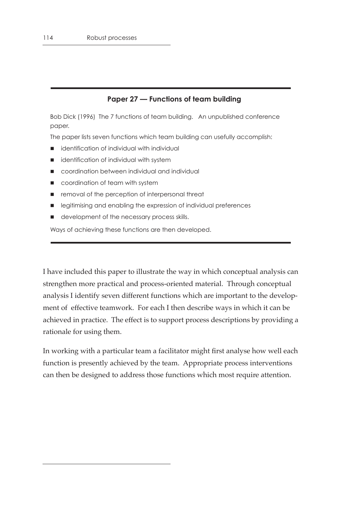#### **Paper 27 — Functions of team building**

Bob Dick (1996) The 7 functions of team building. An unpublished conference paper.

The paper lists seven functions which team building can usefully accomplish:

- identification of individual with individual
- identification of individual with system
- coordination between individual and individual
- coordination of team with system
- removal of the perception of interpersonal threat
- legitimising and enabling the expression of individual preferences
- development of the necessary process skills.

Ways of achieving these functions are then developed.

I have included this paper to illustrate the way in which conceptual analysis can strengthen more practical and process-oriented material. Through conceptual analysis I identify seven different functions which are important to the development of effective teamwork. For each I then describe ways in which it can be achieved in practice. The effect is to support process descriptions by providing a rationale for using them.

In working with a particular team a facilitator might first analyse how well each function is presently achieved by the team. Appropriate process interventions can then be designed to address those functions which most require attention.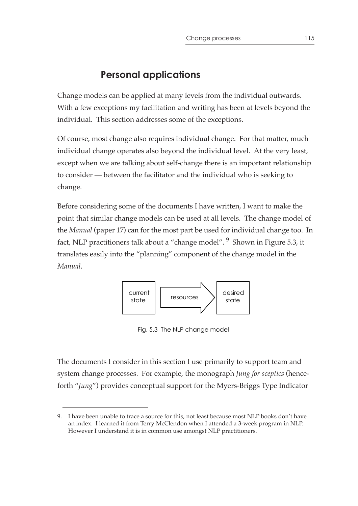# **Personal applications**

Change models can be applied at many levels from the individual outwards. With a few exceptions my facilitation and writing has been at levels beyond the individual. This section addresses some of the exceptions.

Of course, most change also requires individual change. For that matter, much individual change operates also beyond the individual level. At the very least, except when we are talking about self-change there is an important relationship to consider — between the facilitator and the individual who is seeking to change.

Before considering some of the documents I have written, I want to make the point that similar change models can be used at all levels. The change model of the *Manual* (paper 17) can for the most part be used for individual change too. In fact, NLP practitioners talk about a "change model". <sup>9</sup> Shown in Figure 5.3, it translates easily into the "planning" component of the change model in the *Manual*.



Fig. 5.3 The NLP change model

The documents I consider in this section I use primarily to support team and system change processes. For example, the monograph *Jung for sceptics* (henceforth "*Jung*") provides conceptual support for the Myers-Briggs Type Indicator

<sup>9.</sup> I have been unable to trace a source for this, not least because most NLP books don't have an index. I learned it from Terry McClendon when I attended a 3-week program in NLP. However I understand it is in common use amongst NLP practitioners.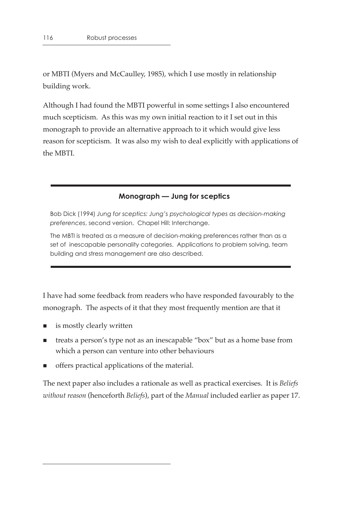or MBTI (Myers and McCaulley, 1985), which I use mostly in relationship building work.

Although I had found the MBTI powerful in some settings I also encountered much scepticism. As this was my own initial reaction to it I set out in this monograph to provide an alternative approach to it which would give less reason for scepticism. It was also my wish to deal explicitly with applications of the MBTI.

## **Monograph — Jung for sceptics**

Bob Dick (1994) *Jung for sceptics: Jung's psychological types as decision-making preferences*, second version. Chapel Hill: Interchange.

The MBTI is treated as a measure of decision-making preferences rather than as a set of inescapable personality categories. Applications to problem solving, team building and stress management are also described.

I have had some feedback from readers who have responded favourably to the monograph. The aspects of it that they most frequently mention are that it

- is mostly clearly written
- treats a person's type not as an inescapable "box" but as a home base from which a person can venture into other behaviours
- offers practical applications of the material.

The next paper also includes a rationale as well as practical exercises. It is *Beliefs without reason* (henceforth *Beliefs*), part of the *Manual* included earlier as paper 17.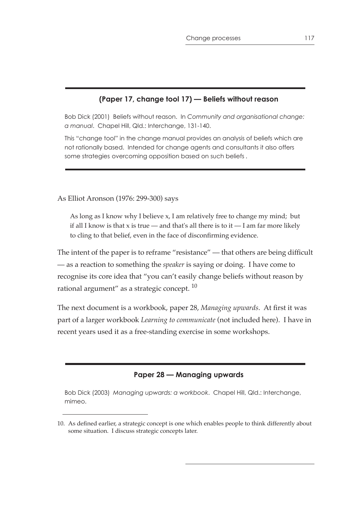## **(Paper 17, change tool 17) — Beliefs without reason**

Bob Dick (2001) Beliefs without reason. In *Community and organisational change: a manual*. Chapel Hill, Qld.: Interchange, 131-140.

This "change tool" in the change manual provides an analysis of beliefs which are not rationally based. Intended for change agents and consultants it also offers some strategies overcoming opposition based on such beliefs .

As Elliot Aronson (1976: 299-300) says

As long as I know why I believe x, I am relatively free to change my mind; but if all I know is that  $x$  is true — and that's all there is to it — I am far more likely to cling to that belief, even in the face of disconfirming evidence.

The intent of the paper is to reframe "resistance" — that others are being difficult — as a reaction to something the *speaker* is saying or doing. I have come to recognise its core idea that "you can't easily change beliefs without reason by rational argument" as a strategic concept.<sup>10</sup>

The next document is a workbook, paper 28, *Managing upwards*. At first it was part of a larger workbook *Learning to communicate* (not included here). I have in recent years used it as a free-standing exercise in some workshops.

#### **Paper 28 — Managing upwards**

Bob Dick (2003) *Managing upwards: a workbook*. Chapel Hill, Qld.: Interchange, mimeo.

<sup>10.</sup> As defined earlier, a strategic concept is one which enables people to think differently about some situation. I discuss strategic concepts later.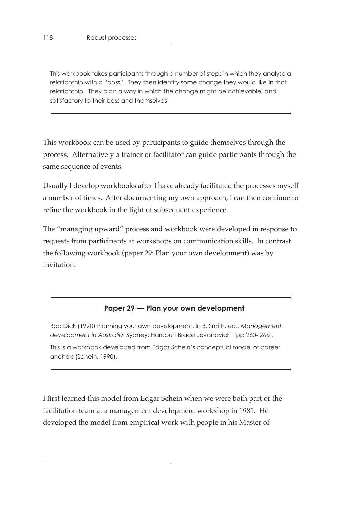This workbook takes participants through a number of steps in which they analyse a relationship with a "boss". They then identify some change they would like in that relationship. They plan a way in which the change might be achievable, and satisfactory to their boss and themselves.

This workbook can be used by participants to guide themselves through the process. Alternatively a trainer or facilitator can guide participants through the same sequence of events.

Usually I develop workbooks after I have already facilitated the processes myself a number of times. After documenting my own approach, I can then continue to refine the workbook in the light of subsequent experience.

The "managing upward" process and workbook were developed in response to requests from participants at workshops on communication skills. In contrast the following workbook (paper 29: Plan your own development) was by invitation.

#### **Paper 29 — Plan your own development**

Bob Dick (1990) Planning your own development. In B. Smith, ed., *Management development in Australia*. Sydney: Harcourt Brace Jovanovich [pp 260- 266].

This is a workbook developed from Edgar Schein's conceptual model of career anchors (Schein, 1990).

I first learned this model from Edgar Schein when we were both part of the facilitation team at a management development workshop in 1981. He developed the model from empirical work with people in his Master of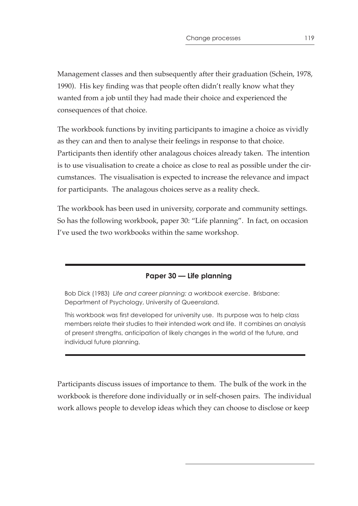Management classes and then subsequently after their graduation (Schein, 1978, 1990). His key finding was that people often didn't really know what they wanted from a job until they had made their choice and experienced the consequences of that choice.

The workbook functions by inviting participants to imagine a choice as vividly as they can and then to analyse their feelings in response to that choice. Participants then identify other analagous choices already taken. The intention is to use visualisation to create a choice as close to real as possible under the circumstances. The visualisation is expected to increase the relevance and impact for participants. The analagous choices serve as a reality check.

The workbook has been used in university, corporate and community settings. So has the following workbook, paper 30: "Life planning". In fact, on occasion I've used the two workbooks within the same workshop.

## **Paper 30 — Life planning**

Bob Dick (1983) *Life and career planning: a workbook exercise*. Brisbane: Department of Psychology, University of Queensland.

This workbook was first developed for university use. Its purpose was to help class members relate their studies to their intended work and life. It combines an analysis of present strengths, anticipation of likely changes in the world of the future, and individual future planning.

Participants discuss issues of importance to them. The bulk of the work in the workbook is therefore done individually or in self-chosen pairs. The individual work allows people to develop ideas which they can choose to disclose or keep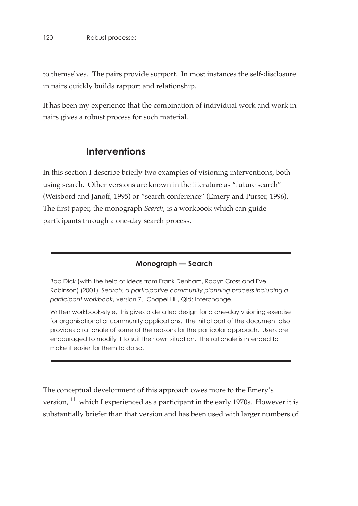to themselves. The pairs provide support. In most instances the self-disclosure in pairs quickly builds rapport and relationship.

It has been my experience that the combination of individual work and work in pairs gives a robust process for such material.

## **Interventions**

In this section I describe briefly two examples of visioning interventions, both using search. Other versions are known in the literature as "future search" (Weisbord and Janoff, 1995) or "search conference" (Emery and Purser, 1996). The first paper, the monograph *Search*, is a workbook which can guide participants through a one-day search process.

#### **Monograph — Search**

Bob Dick )with the help of ideas from Frank Denham, Robyn Cross and Eve Robinson) (2001) *Search: a participative community planning process including a participant workbook*, version 7. Chapel Hill, Qld: Interchange.

Written workbook-style, this gives a detailed design for a one-day visioning exercise for organisational or community applications. The initial part of the document also provides a rationale of some of the reasons for the particular approach. Users are encouraged to modify it to suit their own situation. The rationale is intended to make it easier for them to do so.

The conceptual development of this approach owes more to the Emery's version, <sup>11</sup> which I experienced as a participant in the early 1970s. However it is substantially briefer than that version and has been used with larger numbers of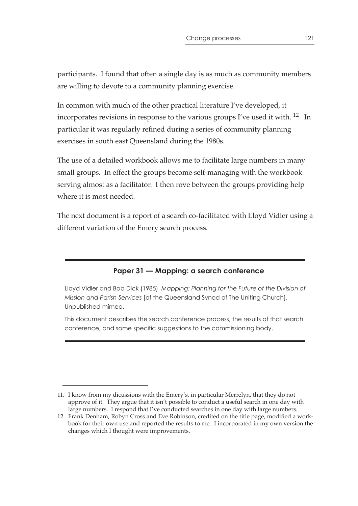participants. I found that often a single day is as much as community members are willing to devote to a community planning exercise.

In common with much of the other practical literature I've developed, it incorporates revisions in response to the various groups I've used it with. <sup>12</sup> In particular it was regularly refined during a series of community planning exercises in south east Queensland during the 1980s.

The use of a detailed workbook allows me to facilitate large numbers in many small groups. In effect the groups become self-managing with the workbook serving almost as a facilitator. I then rove between the groups providing help where it is most needed.

The next document is a report of a search co-facilitated with Lloyd Vidler using a different variation of the Emery search process.

## **Paper 31 — Mapping: a search conference**

Lloyd Vidler and Bob Dick (1985) *Mapping: Planning for the Future of the Division of Mission and Parish Services* [of the Queensland Synod of The Uniting Church]. Unpublished mimeo.

This document describes the search conference process, the results of that search conference, and some specific suggestions to the commissioning body.

<sup>11.</sup> I know from my dicussions with the Emery's, in particular Merrelyn, that they do not approve of it. They argue that it isn't possible to conduct a useful search in one day with large numbers. I respond that I've conducted searches in one day with large numbers.

<sup>12.</sup> Frank Denham, Robyn Cross and Eve Robinson, credited on the title page, modified a workbook for their own use and reported the results to me. I incorporated in my own version the changes which I thought were improvements.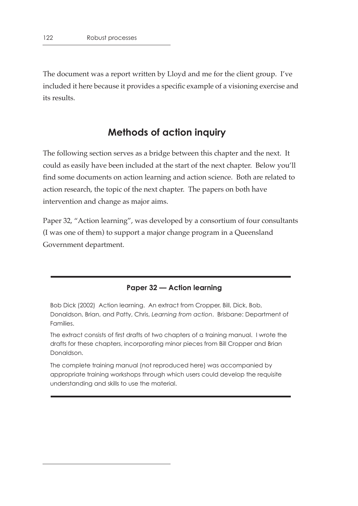The document was a report written by Lloyd and me for the client group. I've included it here because it provides a specific example of a visioning exercise and its results.

# **Methods of action inquiry**

The following section serves as a bridge between this chapter and the next. It could as easily have been included at the start of the next chapter. Below you'll find some documents on action learning and action science. Both are related to action research, the topic of the next chapter. The papers on both have intervention and change as major aims.

Paper 32, "Action learning", was developed by a consortium of four consultants (I was one of them) to support a major change program in a Queensland Government department.

#### **Paper 32 — Action learning**

Bob Dick (2002) Action learning. An extract from Cropper, Bill, Dick, Bob, Donaldson, Brian, and Patty, Chris, *Learning from action*. Brisbane: Department of Families.

The extract consists of first drafts of two chapters of a training manual. I wrote the drafts for these chapters, incorporating minor pieces from Bill Cropper and Brian Donaldson.

The complete training manual (not reproduced here) was accompanied by appropriate training workshops through which users could develop the requisite understanding and skills to use the material.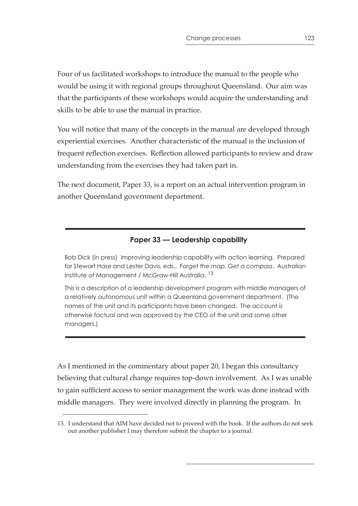Four of us facilitated workshops to introduce the manual to the people who would be using it with regional groups throughout Queensland. Our aim was that the participants of these workshops would acquire the understanding and skills to be able to use the manual in practice.

You will notice that many of the concepts in the manual are developed through experiential exercises. Another characteristic of the manual is the inclusion of frequent reflection exercises. Reflection allowed participants to review and draw understanding from the exercises they had taken part in.

The next document, Paper 33, is a report on an actual intervention program in another Queensland government department.

## **Paper 33 — Leadership capability**

Bob Dick (in press) Improving leadership capability with action learning. Prepared for Stewart Hase and Lester Davis, eds., *Forget the map. Get a compass*. Australian Institute of Management / McGraw-Hill Australia. 13

This is a description of a leadership development program with middle managers of a relatively autonomous unit within a Queenland government department. (The names of the unit and its participants have been changed. The account is otherwise factual and was approved by the CEO of the unit and some other managers.)

As I mentioned in the commentary about paper 20, I began this consultancy believing that cultural change requires top-down involvement. As I was unable to gain sufficient access to senior management the work was done instead with middle managers. They were involved directly in planning the program. In

<sup>13.</sup> I understand that AIM have decided not to proceed with the book. If the authors do not seek out another publisher I may therefore submit the chapter to a journal.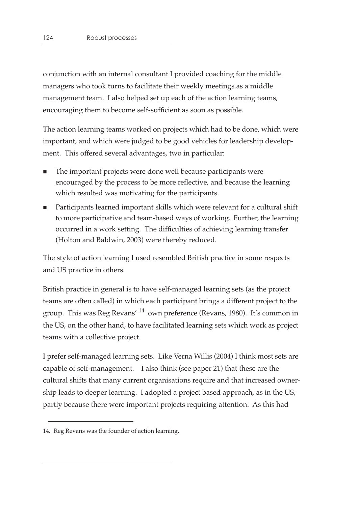conjunction with an internal consultant I provided coaching for the middle managers who took turns to facilitate their weekly meetings as a middle management team. I also helped set up each of the action learning teams, encouraging them to become self-sufficient as soon as possible.

The action learning teams worked on projects which had to be done, which were important, and which were judged to be good vehicles for leadership development. This offered several advantages, two in particular:

- The important projects were done well because participants were encouraged by the process to be more reflective, and because the learning which resulted was motivating for the participants.
- Participants learned important skills which were relevant for a cultural shift to more participative and team-based ways of working. Further, the learning occurred in a work setting. The difficulties of achieving learning transfer (Holton and Baldwin, 2003) were thereby reduced.

The style of action learning I used resembled British practice in some respects and US practice in others.

British practice in general is to have self-managed learning sets (as the project teams are often called) in which each participant brings a different project to the group. This was Reg Revans' 14 own preference (Revans, 1980). It's common in the US, on the other hand, to have facilitated learning sets which work as project teams with a collective project.

I prefer self-managed learning sets. Like Verna Willis (2004) I think most sets are capable of self-management. I also think (see paper 21) that these are the cultural shifts that many current organisations require and that increased ownership leads to deeper learning. I adopted a project based approach, as in the US, partly because there were important projects requiring attention. As this had

<sup>14.</sup> Reg Revans was the founder of action learning.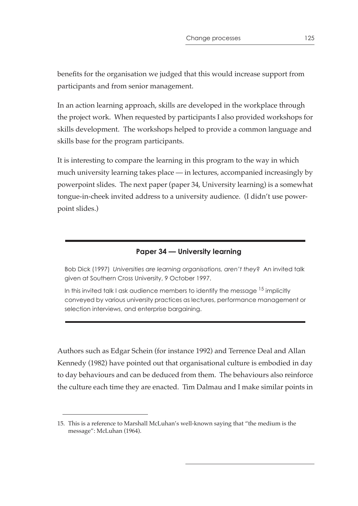benefits for the organisation we judged that this would increase support from participants and from senior management.

In an action learning approach, skills are developed in the workplace through the project work. When requested by participants I also provided workshops for skills development. The workshops helped to provide a common language and skills base for the program participants.

It is interesting to compare the learning in this program to the way in which much university learning takes place — in lectures, accompanied increasingly by powerpoint slides. The next paper (paper 34, University learning) is a somewhat tongue-in-cheek invited address to a university audience. (I didn't use powerpoint slides.)

## **Paper 34 — University learning**

Bob Dick (1997) *Universities are learning organisations, aren't they*? An invited talk given at Southern Cross University, 9 October 1997.

In this invited talk I ask audience members to identify the message  $15$  implicitly conveyed by various university practices as lectures, performance management or selection interviews, and enterprise bargaining.

Authors such as Edgar Schein (for instance 1992) and Terrence Deal and Allan Kennedy (1982) have pointed out that organisational culture is embodied in day to day behaviours and can be deduced from them. The behaviours also reinforce the culture each time they are enacted. Tim Dalmau and I make similar points in

<sup>15.</sup> This is a reference to Marshall McLuhan's well-known saying that "the medium is the message": McLuhan (1964).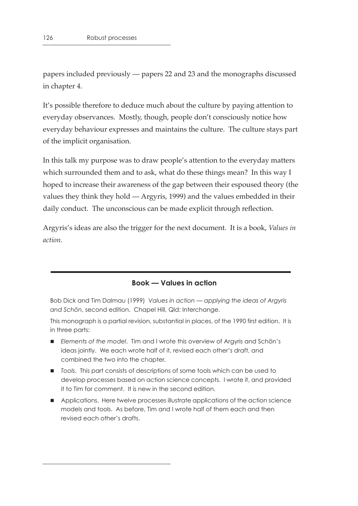papers included previously — papers 22 and 23 and the monographs discussed in chapter 4.

It's possible therefore to deduce much about the culture by paying attention to everyday observances. Mostly, though, people don't consciously notice how everyday behaviour expresses and maintains the culture. The culture stays part of the implicit organisation.

In this talk my purpose was to draw people's attention to the everyday matters which surrounded them and to ask, what do these things mean? In this way I hoped to increase their awareness of the gap between their espoused theory (the values they think they hold — Argyris, 1999) and the values embedded in their daily conduct. The unconscious can be made explicit through reflection.

Argyris's ideas are also the trigger for the next document. It is a book, *Values in action*.

#### **Book — Values in action**

Bob Dick and Tim Dalmau (1999) *Values in action — applying the ideas of Argyris and Schön*, second edition. Chapel Hill, Qld: Interchange.

This monograph is a partial revision, substantial in places, of the 1990 first edition. It is in three parts:

- *Elements of the model*. Tim and I wrote this overview of Argyris and Schön's ideas jointly. We each wrote half of it, revised each other's draft, and combined the two into the chapter.
- *Tools*. This part consists of descriptions of some tools which can be used to develop processes based on action science concepts. I wrote it, and provided it to Tim for comment. It is new in the second edition.
- **Applications. Here twelve processes illustrate applications of the action science** models and tools. As before, Tim and I wrote half of them each and then revised each other's drafts.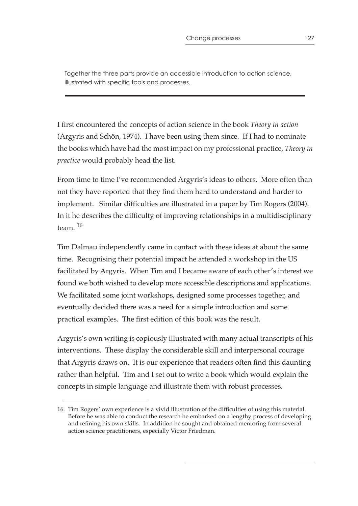Together the three parts provide an accessible introduction to action science, illustrated with specific tools and processes.

I first encountered the concepts of action science in the book *Theory in action* (Argyris and Schön, 1974). I have been using them since. If I had to nominate the books which have had the most impact on my professional practice, *Theory in practice* would probably head the list.

From time to time I've recommended Argyris's ideas to others. More often than not they have reported that they find them hard to understand and harder to implement. Similar difficulties are illustrated in a paper by Tim Rogers (2004). In it he describes the difficulty of improving relationships in a multidisciplinary team.  $16$ 

Tim Dalmau independently came in contact with these ideas at about the same time. Recognising their potential impact he attended a workshop in the US facilitated by Argyris. When Tim and I became aware of each other's interest we found we both wished to develop more accessible descriptions and applications. We facilitated some joint workshops, designed some processes together, and eventually decided there was a need for a simple introduction and some practical examples. The first edition of this book was the result.

Argyris's own writing is copiously illustrated with many actual transcripts of his interventions. These display the considerable skill and interpersonal courage that Argyris draws on. It is our experience that readers often find this daunting rather than helpful. Tim and I set out to write a book which would explain the concepts in simple language and illustrate them with robust processes.

<sup>16.</sup> Tim Rogers' own experience is a vivid illustration of the difficulties of using this material. Before he was able to conduct the research he embarked on a lengthy process of developing and refining his own skills. In addition he sought and obtained mentoring from several action science practitioners, especially Victor Friedman.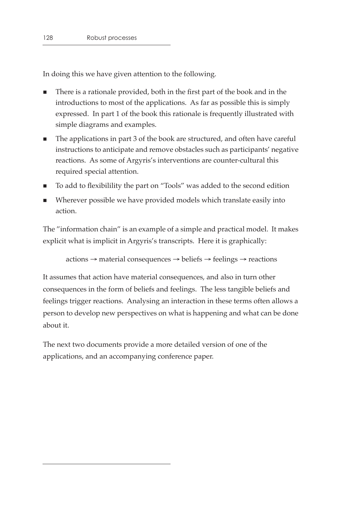In doing this we have given attention to the following.

- There is a rationale provided, both in the first part of the book and in the introductions to most of the applications. As far as possible this is simply expressed. In part 1 of the book this rationale is frequently illustrated with simple diagrams and examples.
- The applications in part 3 of the book are structured, and often have careful instructions to anticipate and remove obstacles such as participants' negative reactions. As some of Argyris's interventions are counter-cultural this required special attention.
- To add to flexibilility the part on "Tools" was added to the second edition
- Wherever possible we have provided models which translate easily into action.

The "information chain" is an example of a simple and practical model. It makes explicit what is implicit in Argyris's transcripts. Here it is graphically:

```
actions → material consequences → beliefs → feelings → reactions
```
It assumes that action have material consequences, and also in turn other consequences in the form of beliefs and feelings. The less tangible beliefs and feelings trigger reactions. Analysing an interaction in these terms often allows a person to develop new perspectives on what is happening and what can be done about it.

The next two documents provide a more detailed version of one of the applications, and an accompanying conference paper.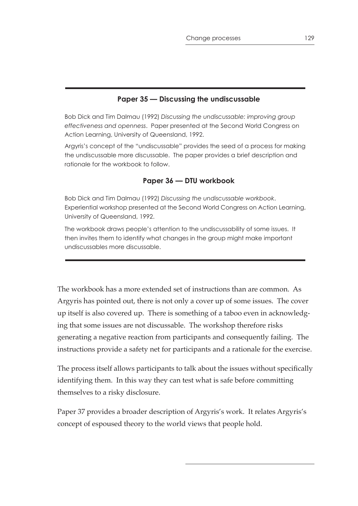## **Paper 35 — Discussing the undiscussable**

Bob Dick and Tim Dalmau (1992) *Discussing the undiscussable: improving group effectiveness and openness*. Paper presented at the Second World Congress on Action Learning, University of Queensland, 1992.

Argyris's concept of the "undiscussable" provides the seed of a process for making the undiscussable more discussable. The paper provides a brief description and rationale for the workbook to follow.

#### **Paper 36 — DTU workbook**

Bob Dick and Tim Dalmau (1992) *Discussing the undiscussable workbook*. Experiential workshop presented at the Second World Congress on Action Learning, University of Queensland, 1992.

The workbook draws people's attention to the undiscussability of some issues. It then invites them to identify what changes in the group might make important undiscussables more discussable.

The workbook has a more extended set of instructions than are common. As Argyris has pointed out, there is not only a cover up of some issues. The cover up itself is also covered up. There is something of a taboo even in acknowledging that some issues are not discussable. The workshop therefore risks generating a negative reaction from participants and consequently failing. The instructions provide a safety net for participants and a rationale for the exercise.

The process itself allows participants to talk about the issues without specifically identifying them. In this way they can test what is safe before committing themselves to a risky disclosure.

Paper 37 provides a broader description of Argyris's work. It relates Argyris's concept of espoused theory to the world views that people hold.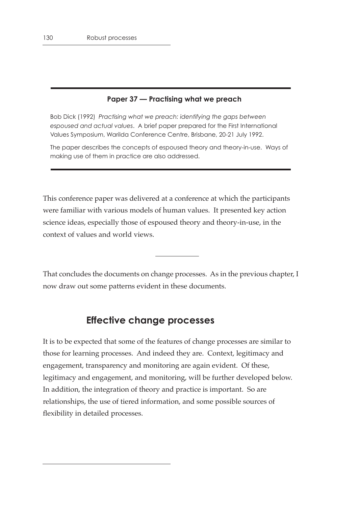### **Paper 37 — Practising what we preach**

Bob Dick (1992) *Practising what we preach: identifying the gaps between espoused and actual values*. A brief paper prepared for the First International Values Symposium, Warilda Conference Centre, Brisbane, 20-21 July 1992.

The paper describes the concepts of espoused theory and theory-in-use. Ways of making use of them in practice are also addressed.

This conference paper was delivered at a conference at which the participants were familiar with various models of human values. It presented key action science ideas, especially those of espoused theory and theory-in-use, in the context of values and world views.

That concludes the documents on change processes. As in the previous chapter, I now draw out some patterns evident in these documents.

## **Effective change processes**

It is to be expected that some of the features of change processes are similar to those for learning processes. And indeed they are. Context, legitimacy and engagement, transparency and monitoring are again evident. Of these, legitimacy and engagement, and monitoring, will be further developed below. In addition, the integration of theory and practice is important. So are relationships, the use of tiered information, and some possible sources of flexibility in detailed processes.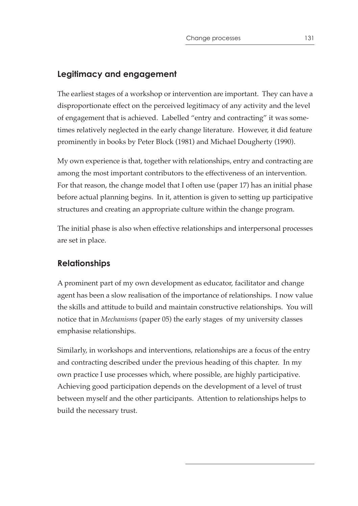## **Legitimacy and engagement**

The earliest stages of a workshop or intervention are important. They can have a disproportionate effect on the perceived legitimacy of any activity and the level of engagement that is achieved. Labelled "entry and contracting" it was sometimes relatively neglected in the early change literature. However, it did feature prominently in books by Peter Block (1981) and Michael Dougherty (1990).

My own experience is that, together with relationships, entry and contracting are among the most important contributors to the effectiveness of an intervention. For that reason, the change model that I often use (paper 17) has an initial phase before actual planning begins. In it, attention is given to setting up participative structures and creating an appropriate culture within the change program.

The initial phase is also when effective relationships and interpersonal processes are set in place.

## **Relationships**

A prominent part of my own development as educator, facilitator and change agent has been a slow realisation of the importance of relationships. I now value the skills and attitude to build and maintain constructive relationships. You will notice that in *Mechanisms* (paper 05) the early stages of my university classes emphasise relationships.

Similarly, in workshops and interventions, relationships are a focus of the entry and contracting described under the previous heading of this chapter. In my own practice I use processes which, where possible, are highly participative. Achieving good participation depends on the development of a level of trust between myself and the other participants. Attention to relationships helps to build the necessary trust.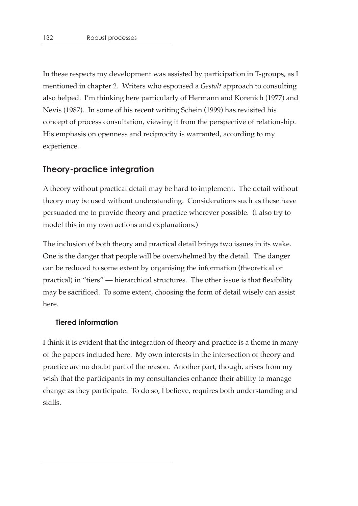In these respects my development was assisted by participation in T-groups, as I mentioned in chapter 2. Writers who espoused a *Gestalt* approach to consulting also helped. I'm thinking here particularly of Hermann and Korenich (1977) and Nevis (1987). In some of his recent writing Schein (1999) has revisited his concept of process consultation, viewing it from the perspective of relationship. His emphasis on openness and reciprocity is warranted, according to my experience.

## **Theory-practice integration**

A theory without practical detail may be hard to implement. The detail without theory may be used without understanding. Considerations such as these have persuaded me to provide theory and practice wherever possible. (I also try to model this in my own actions and explanations.)

The inclusion of both theory and practical detail brings two issues in its wake. One is the danger that people will be overwhelmed by the detail. The danger can be reduced to some extent by organising the information (theoretical or practical) in "tiers" — hierarchical structures. The other issue is that flexibility may be sacrificed. To some extent, choosing the form of detail wisely can assist here.

#### **Tiered information**

I think it is evident that the integration of theory and practice is a theme in many of the papers included here. My own interests in the intersection of theory and practice are no doubt part of the reason. Another part, though, arises from my wish that the participants in my consultancies enhance their ability to manage change as they participate. To do so, I believe, requires both understanding and skills.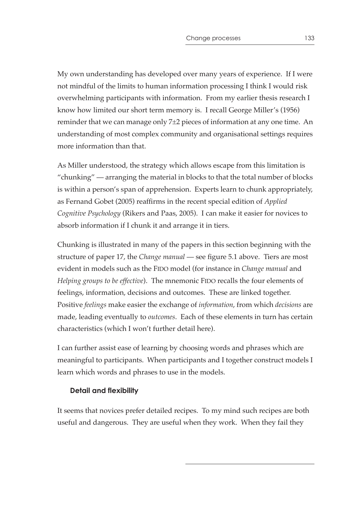My own understanding has developed over many years of experience. If I were not mindful of the limits to human information processing I think I would risk overwhelming participants with information. From my earlier thesis research I know how limited our short term memory is. I recall George Miller's (1956) reminder that we can manage only 7±2 pieces of information at any one time. An understanding of most complex community and organisational settings requires more information than that.

As Miller understood, the strategy which allows escape from this limitation is "chunking" — arranging the material in blocks to that the total number of blocks is within a person's span of apprehension. Experts learn to chunk appropriately, as Fernand Gobet (2005) reaffirms in the recent special edition of *Applied Cognitive Psychology* (Rikers and Paas, 2005). I can make it easier for novices to absorb information if I chunk it and arrange it in tiers.

Chunking is illustrated in many of the papers in this section beginning with the structure of paper 17, the *Change manual* — see figure 5.1 above. Tiers are most evident in models such as the FIDO model (for instance in *Change manual* and *Helping groups to be effective*). The mnemonic FIDO recalls the four elements of feelings, information, decisions and outcomes. These are linked together. Positive *feelings* make easier the exchange of *information*, from which *decisions* are made, leading eventually to *outcomes*. Each of these elements in turn has certain characteristics (which I won't further detail here).

I can further assist ease of learning by choosing words and phrases which are meaningful to participants. When participants and I together construct models I learn which words and phrases to use in the models.

## **Detail and flexibility**

It seems that novices prefer detailed recipes. To my mind such recipes are both useful and dangerous. They are useful when they work. When they fail they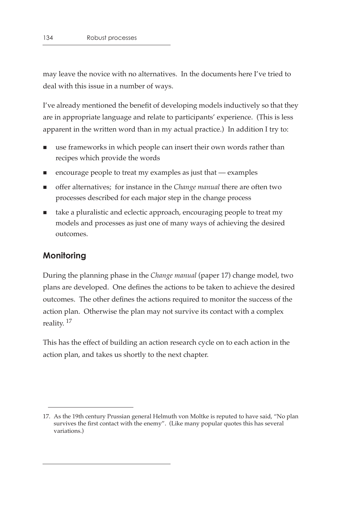may leave the novice with no alternatives. In the documents here I've tried to deal with this issue in a number of ways.

I've already mentioned the benefit of developing models inductively so that they are in appropriate language and relate to participants' experience. (This is less apparent in the written word than in my actual practice.) In addition I try to:

- use frameworks in which people can insert their own words rather than recipes which provide the words
- $\blacksquare$  encourage people to treat my examples as just that examples
- offer alternatives; for instance in the *Change manual* there are often two processes described for each major step in the change process
- take a pluralistic and eclectic approach, encouraging people to treat my models and processes as just one of many ways of achieving the desired outcomes.

## **Monitoring**

During the planning phase in the *Change manual* (paper 17) change model, two plans are developed. One defines the actions to be taken to achieve the desired outcomes. The other defines the actions required to monitor the success of the action plan. Otherwise the plan may not survive its contact with a complex reality.  $^{17}$ 

This has the effect of building an action research cycle on to each action in the action plan, and takes us shortly to the next chapter.

<sup>17.</sup> As the 19th century Prussian general Helmuth von Moltke is reputed to have said, "No plan survives the first contact with the enemy". (Like many popular quotes this has several variations.)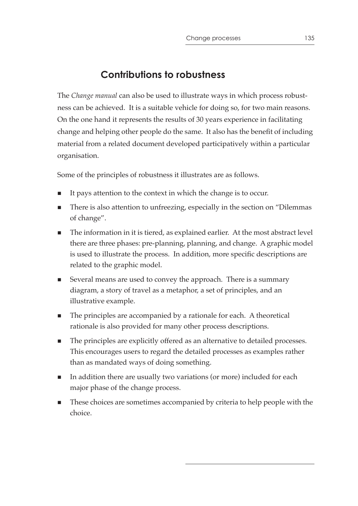# **Contributions to robustness**

The *Change manual* can also be used to illustrate ways in which process robustness can be achieved. It is a suitable vehicle for doing so, for two main reasons. On the one hand it represents the results of 30 years experience in facilitating change and helping other people do the same. It also has the benefit of including material from a related document developed participatively within a particular organisation.

Some of the principles of robustness it illustrates are as follows.

- It pays attention to the context in which the change is to occur.
- There is also attention to unfreezing, especially in the section on "Dilemmas of change".
- The information in it is tiered, as explained earlier. At the most abstract level there are three phases: pre-planning, planning, and change. A graphic model is used to illustrate the process. In addition, more specific descriptions are related to the graphic model.
- Several means are used to convey the approach. There is a summary diagram, a story of travel as a metaphor, a set of principles, and an illustrative example.
- The principles are accompanied by a rationale for each. A theoretical rationale is also provided for many other process descriptions.
- The principles are explicitly offered as an alternative to detailed processes. This encourages users to regard the detailed processes as examples rather than as mandated ways of doing something.
- $\blacksquare$  In addition there are usually two variations (or more) included for each major phase of the change process.
- These choices are sometimes accompanied by criteria to help people with the choice.